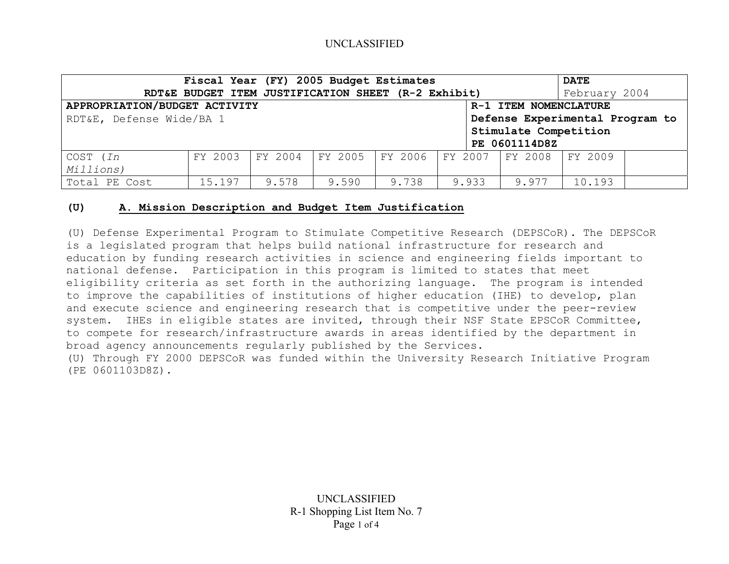# UNCLASSIFIED

| Fiscal Year (FY) 2005 Budget Estimates                      |         |       |       |                                                     |  |               |                       | <b>DATE</b>   |  |  |
|-------------------------------------------------------------|---------|-------|-------|-----------------------------------------------------|--|---------------|-----------------------|---------------|--|--|
|                                                             |         |       |       | RDT&E BUDGET ITEM JUSTIFICATION SHEET (R-2 Exhibit) |  |               |                       | February 2004 |  |  |
| APPROPRIATION/BUDGET ACTIVITY<br>R-1 ITEM NOMENCLATURE      |         |       |       |                                                     |  |               |                       |               |  |  |
| RDT&E, Defense Wide/BA 1<br>Defense Experimental Program to |         |       |       |                                                     |  |               |                       |               |  |  |
|                                                             |         |       |       |                                                     |  |               | Stimulate Competition |               |  |  |
|                                                             |         |       |       |                                                     |  | PE 0601114D8Z |                       |               |  |  |
| COST ( <i>In</i>                                            | FY 2003 |       |       | FY 2004 FY 2005 FY 2006 FY 2007                     |  |               | FY 2008               | FY 2009       |  |  |
| Millions)                                                   |         |       |       |                                                     |  |               |                       |               |  |  |
| Total PE Cost                                               | 15.197  | 9.578 | 9.590 | 9.738                                               |  | 9.933         | 9.977                 | 10.193        |  |  |

#### **(U) A. Mission Description and Budget Item Justification**

(U) Defense Experimental Program to Stimulate Competitive Research (DEPSCoR). The DEPSCoR is a legislated program that helps build national infrastructure for research and education by funding research activities in science and engineering fields important to national defense. Participation in this program is limited to states that meet eligibility criteria as set forth in the authorizing language. The program is intended to improve the capabilities of institutions of higher education (IHE) to develop, plan and execute science and engineering research that is competitive under the peer-review system. IHEs in eligible states are invited, through their NSF State EPSCoR Committee, to compete for research/infrastructure awards in areas identified by the department in broad agency announcements regularly published by the Services.

(U) Through FY 2000 DEPSCoR was funded within the University Research Initiative Program (PE 0601103D8Z).

> UNCLASSIFIED R-1 Shopping List Item No. 7 Page 1 of 4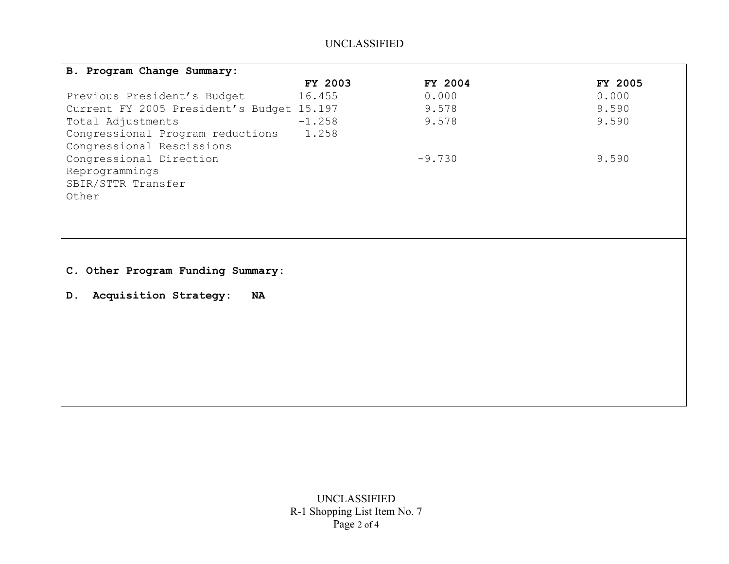# UNCLASSIFIED

| FY 2003  | FY 2004                                   | <b>FY 2005</b> |
|----------|-------------------------------------------|----------------|
| 16.455   | 0.000                                     | 0.000          |
|          | 9.578                                     | 9.590          |
| $-1.258$ | 9.578                                     | 9.590          |
| 1.258    |                                           |                |
|          |                                           |                |
|          | $-9.730$                                  | 9.590          |
|          |                                           |                |
|          |                                           |                |
|          |                                           |                |
|          | Current FY 2005 President's Budget 15.197 |                |

**C. Other Program Funding Summary:**

**D. Acquisition Strategy: NA**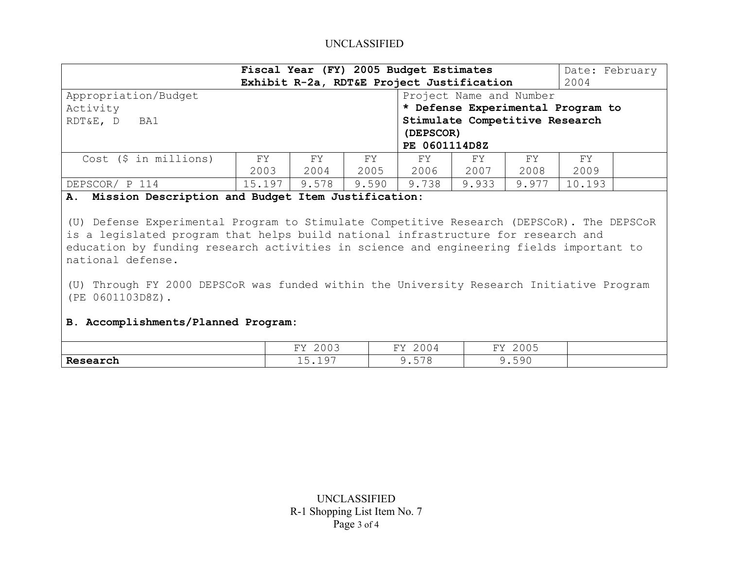# UNCLASSIFIED

| Fiscal Year (FY) 2005 Budget Estimates<br>Exhibit R-2a, RDT&E Project Justification |             |              |            |             |                                                                                                                              |            |             | Date: February<br>2004 |  |
|-------------------------------------------------------------------------------------|-------------|--------------|------------|-------------|------------------------------------------------------------------------------------------------------------------------------|------------|-------------|------------------------|--|
| Appropriation/Budget<br>Activity<br>RDT&E, D<br>BA1                                 |             |              |            |             | Project Name and Number<br>* Defense Experimental Program to<br>Stimulate Competitive Research<br>(DEPSCOR)<br>PE 0601114D8Z |            |             |                        |  |
| $Cost$ (\$ in millions)                                                             | FY.<br>2003 | FY .<br>2004 | FY<br>2005 | FY.<br>2006 | FY.<br>2007                                                                                                                  | FY<br>2008 | FY.<br>2009 |                        |  |
| DEPSCOR/ P 114<br>.<br>__________                                                   | 15.197      | 9.578<br>.   | 9.590      | 9.738       | 9.933                                                                                                                        | 9.977      | 10.193      |                        |  |

#### **A. Mission Description and Budget Item Justification:**

(U) Defense Experimental Program to Stimulate Competitive Research (DEPSCoR). The DEPSCoR is a legislated program that helps build national infrastructure for research and education by funding research activities in science and engineering fields important to national defense.

(U) Through FY 2000 DEPSCoR was funded within the University Research Initiative Program (PE 0601103D8Z).

#### **B. Accomplishments/Planned Program:**

|                  | $\sim$ $\sim$ $\sim$<br>T T T<br>こしいこ<br>. .                           | $\sim$ $\sim$ $\sim$<br>T/T<br>200 <sup>-</sup><br>- - | $\bigcap_{n=1}^{\infty}$<br>$T \rightarrow 2$<br>とししつ<br>-- |  |
|------------------|------------------------------------------------------------------------|--------------------------------------------------------|-------------------------------------------------------------|--|
| Res Re<br>earcn, | $\overline{\phantom{0}}$<br>$\sim$ $\sim$ $\sim$<br>∽<br>- ← ← ← ← ← ← | $-70$<br>∽<br>7.JIG                                    | .590                                                        |  |